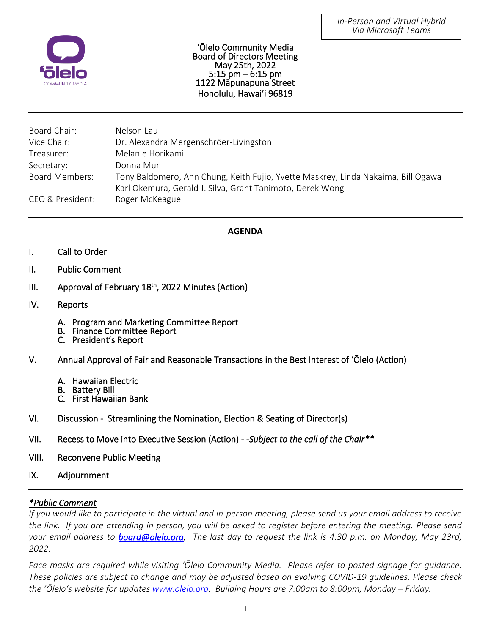

'Ōlelo Community Media Board of Directors Meeting May 25th, 2022 5:15 pm – 6:15 pm 1122 Māpunapuna Street Honolulu, Hawaiʻi 96819

| Board Chair:          | Nelson Lau                                                                                                                                     |
|-----------------------|------------------------------------------------------------------------------------------------------------------------------------------------|
| Vice Chair:           | Dr. Alexandra Mergenschröer-Livingston                                                                                                         |
| Treasurer:            | Melanie Horikami                                                                                                                               |
| Secretary:            | Donna Mun                                                                                                                                      |
| <b>Board Members:</b> | Tony Baldomero, Ann Chung, Keith Fujio, Yvette Maskrey, Linda Nakaima, Bill Ogawa<br>Karl Okemura, Gerald J. Silva, Grant Tanimoto, Derek Wong |
| CEO & President:      | Roger McKeague                                                                                                                                 |

## I **AGENDA**

- I. Call to Order
- $II.$ Public Comment
- $III.$ III. Approval of February 18<sup>th</sup>, 2022 Minutes (Action)
- IV. Reports
	- A. Program and Marketing Committee Report
	- B. Finance Committee Report
	- C. President's Report
- V. Annual Approval of Fair and Reasonable Transactions in the Best Interest of 'Ōlelo (Action)
	- A. Hawaiian Electric
	- B. Battery Bill
	- C. First Hawaiian Bank
- VI. Discussion Streamlining the Nomination, Election & Seating of Director(s)
- VII. Recess to Move into Executive Session (Action) -*Subject to the call of the Chair\*\**
- VIII. Reconvene Public Meeting
- IX. Adjournment

## *\*Public Comment*

*If you would like to participate in the virtual and in-person meeting, please send us your email address to receive the link. If you are attending in person, you will be asked to register before entering the meeting. Please send your email address to [board@olelo.org.](mailto:board@olelo.org) The last day to request the link is 4:30 p.m. on Monday, May 23rd, 2022.*

*Face masks are required while visiting ʻŌlelo Community Media. Please refer to posted signage for guidance. These policies are subject to change and may be adjusted based on evolving COVID-19 guidelines. Please check the ʻŌleloʻs website for updates [www.olelo.org.](http://www.olelo.org/) Building Hours are 7:00am to 8:00pm, Monday – Friday.*